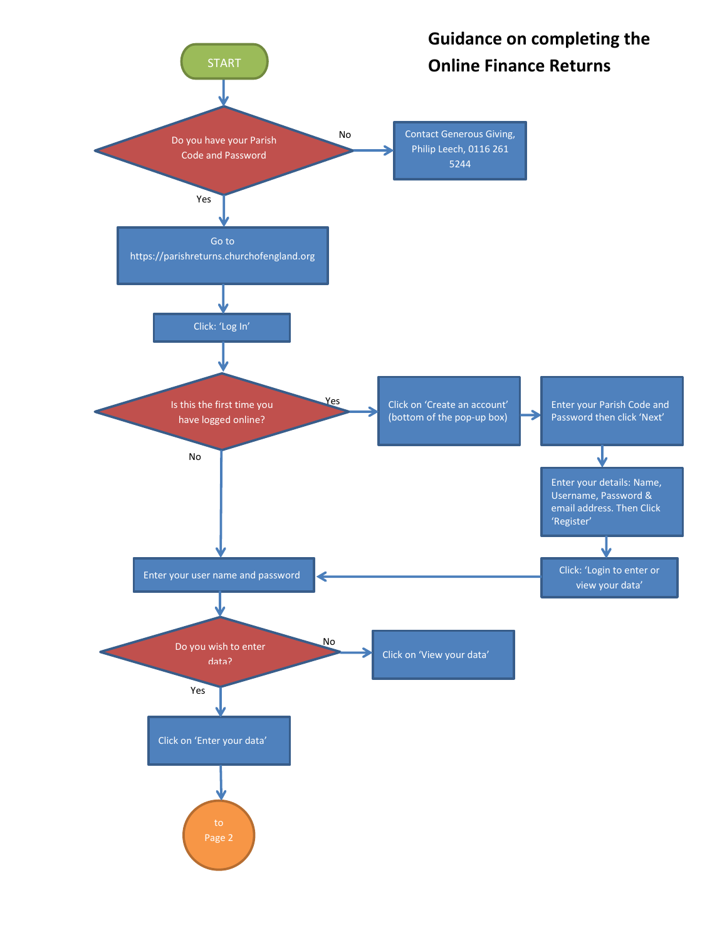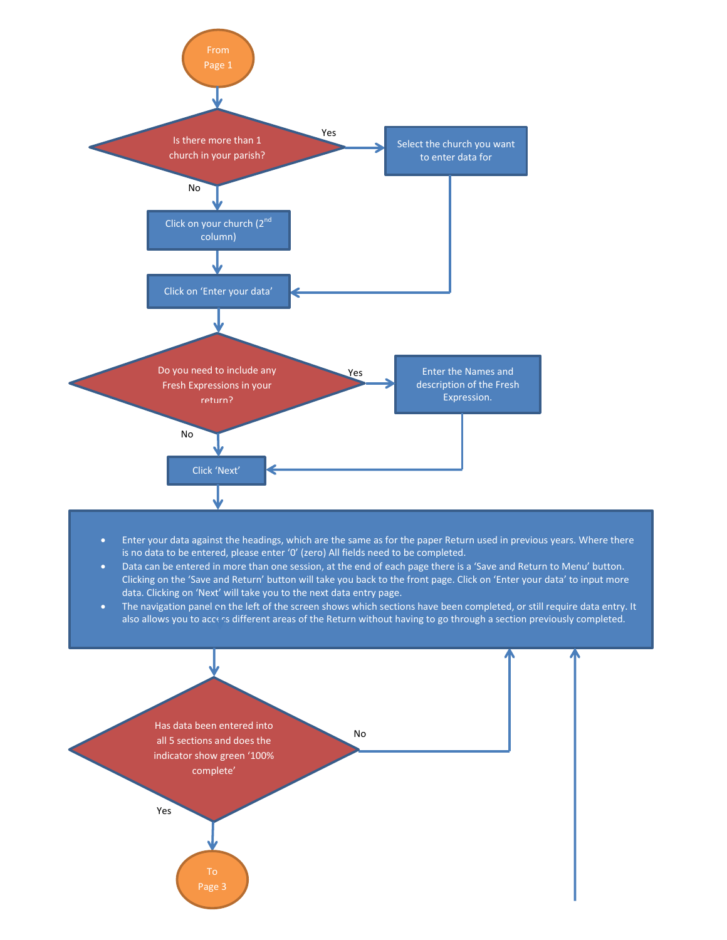

- Enter your data against the headings, which are the same as for the paper Return used in previous years. Where there is no data to be entered, please enter '0' (zero) All fields need to be completed.
- Data can be entered in more than one session, at the end of each page there is a 'Save and Return to Menu' button. Clicking on the 'Save and Return' button will take you back to the front page. Click on 'Enter your data' to input more data. Clicking on 'Next' will take you to the next data entry page.
- The navigation panel on the left of the screen shows which sections have been completed, or still require data entry. It also allows you to access different areas of the Return without having to go through a section previously completed.